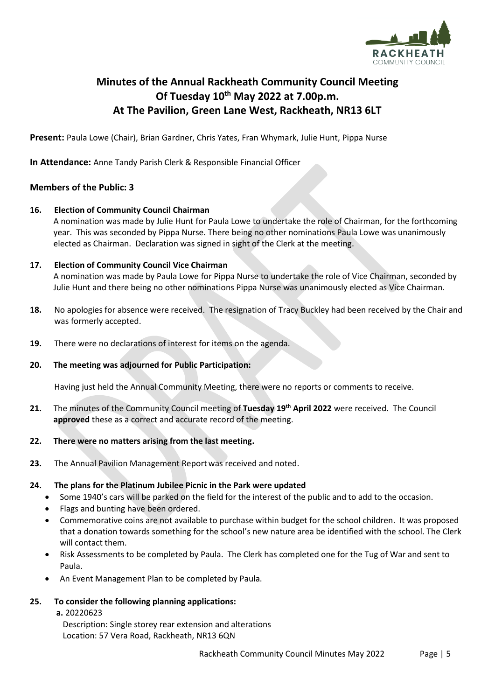

# **Minutes of the Annual Rackheath Community Council Meeting Of Tuesday 10th May 2022 at 7.00p.m. At The Pavilion, Green Lane West, Rackheath, NR13 6LT**

**Present:** Paula Lowe (Chair), Brian Gardner, Chris Yates, Fran Whymark, Julie Hunt, Pippa Nurse

**In Attendance:** Anne Tandy Parish Clerk & Responsible Financial Officer

### **Members of the Public: 3**

#### **16. Election of Community Council Chairman**

A nomination was made by Julie Hunt for Paula Lowe to undertake the role of Chairman, for the forthcoming year. This was seconded by Pippa Nurse. There being no other nominations Paula Lowe was unanimously elected as Chairman. Declaration was signed in sight of the Clerk at the meeting.

#### **17. Election of Community Council Vice Chairman**

A nomination was made by Paula Lowe for Pippa Nurse to undertake the role of Vice Chairman, seconded by Julie Hunt and there being no other nominations Pippa Nurse was unanimously elected as Vice Chairman.

- **18.** No apologies for absence were received. The resignation of Tracy Buckley had been received by the Chair and was formerly accepted.
- **19.** There were no declarations of interest for items on the agenda.

#### **20. The meeting was adjourned for Public Participation:**

Having just held the Annual Community Meeting, there were no reports or comments to receive.

**21.** The minutes of the Community Council meeting of **Tuesday 19th April 2022** were received. The Council **approved** these as a correct and accurate record of the meeting.

#### **22. There were no matters arising from the last meeting.**

**23.** The Annual Pavilion Management Reportwas received and noted.

#### **24. The plans for the Platinum Jubilee Picnic in the Park were updated**

- Some 1940's cars will be parked on the field for the interest of the public and to add to the occasion.
- Flags and bunting have been ordered.
- Commemorative coins are not available to purchase within budget for the school children. It was proposed that a donation towards something for the school's new nature area be identified with the school. The Clerk will contact them.
- Risk Assessments to be completed by Paula. The Clerk has completed one for the Tug of War and sent to Paula.
- An Event Management Plan to be completed by Paula.

#### **25. To consider the following planning applications:**

**a.** 20220623

Description: Single storey rear extension and alterations Location: 57 Vera Road, Rackheath, NR13 6QN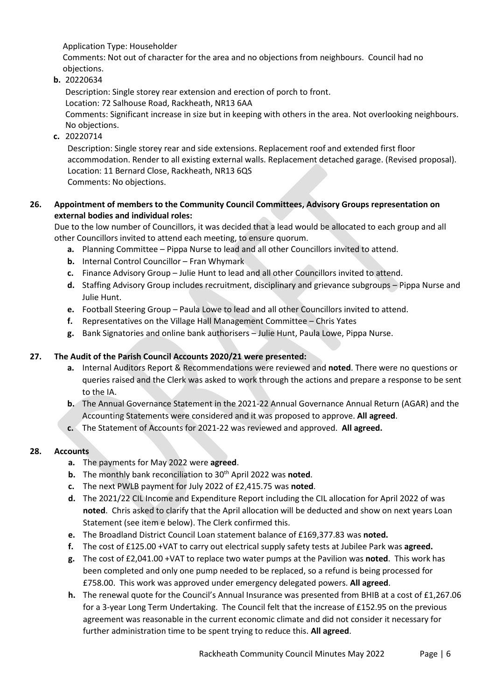Application Type: Householder

Comments: Not out of character for the area and no objections from neighbours. Council had no objections.

**b.** 20220634

Description: Single storey rear extension and erection of porch to front.

Location: 72 Salhouse Road, Rackheath, NR13 6AA

Comments: Significant increase in size but in keeping with others in the area. Not overlooking neighbours. No objections.

**c.** 20220714

Description: Single storey rear and side extensions. Replacement roof and extended first floor accommodation. Render to all existing external walls. Replacement detached garage. (Revised proposal). Location: 11 Bernard Close, Rackheath, NR13 6QS Comments: No objections.

# **26. Appointment of members to the Community Council Committees, Advisory Groups representation on**

**external bodies and individual roles:**

Due to the low number of Councillors, it was decided that a lead would be allocated to each group and all other Councillors invited to attend each meeting, to ensure quorum.

- **a.** Planning Committee Pippa Nurse to lead and all other Councillors invited to attend.
- **b.** Internal Control Councillor Fran Whymark
- **c.** Finance Advisory Group Julie Hunt to lead and all other Councillors invited to attend.
- **d.** Staffing Advisory Group includes recruitment, disciplinary and grievance subgroups Pippa Nurse and Julie Hunt.
- **e.** Football Steering Group Paula Lowe to lead and all other Councillors invited to attend.
- **f.** Representatives on the Village Hall Management Committee Chris Yates
- **g.** Bank Signatories and online bank authorisers Julie Hunt, Paula Lowe, Pippa Nurse.

## **27. The Audit of the Parish Council Accounts 2020/21 were presented:**

- **a.** Internal Auditors Report & Recommendations were reviewed and **noted**. There were no questions or queries raised and the Clerk was asked to work through the actions and prepare a response to be sent to the IA.
- **b.** The Annual Governance Statement in the 2021-22 Annual Governance Annual Return (AGAR) and the Accounting Statements were considered and it was proposed to approve. **All agreed**.
- **c.** The Statement of Accounts for 2021-22 was reviewed and approved. **All agreed.**

### **28. Accounts**

- **a.** The payments for May 2022 were **agreed**.
- **b.** The monthly bank reconciliation to 30<sup>th</sup> April 2022 was **noted**.
- **c.** The next PWLB payment for July 2022 of £2,415.75 was **noted**.
- **d.** The 2021/22 CIL Income and Expenditure Report including the CIL allocation for April 2022 of was **noted**. Chris asked to clarify that the April allocation will be deducted and show on next years Loan Statement (see item e below). The Clerk confirmed this.
- **e.** The Broadland District Council Loan statement balance of £169,377.83 was **noted.**
- **f.** The cost of £125.00 +VAT to carry out electrical supply safety tests at Jubilee Park was **agreed.**
- **g.** The cost of £2,041.00 +VAT to replace two water pumps at the Pavilion was **noted**. This work has been completed and only one pump needed to be replaced, so a refund is being processed for £758.00. This work was approved under emergency delegated powers. **All agreed**.
- **h.** The renewal quote for the Council's Annual Insurance was presented from BHIB at a cost of £1,267.06 for a 3-year Long Term Undertaking. The Council felt that the increase of £152.95 on the previous agreement was reasonable in the current economic climate and did not consider it necessary for further administration time to be spent trying to reduce this. **All agreed**.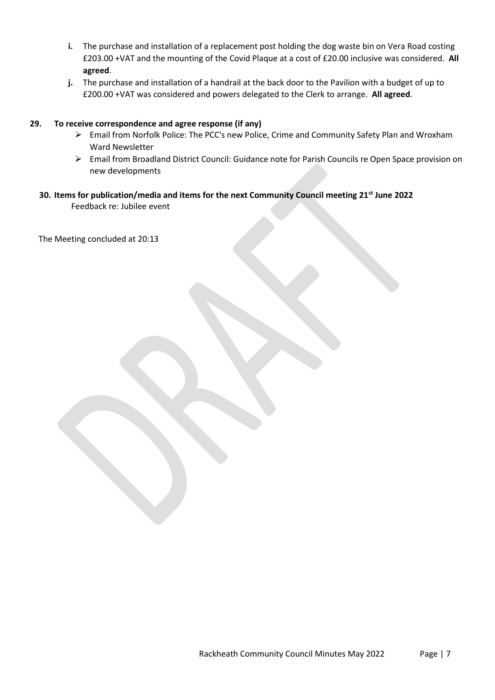- **i.** The purchase and installation of a replacement post holding the dog waste bin on Vera Road costing £203.00 +VAT and the mounting of the Covid Plaque at a cost of £20.00 inclusive was considered. **All agreed**.
- **j.** The purchase and installation of a handrail at the back door to the Pavilion with a budget of up to £200.00 +VAT was considered and powers delegated to the Clerk to arrange. **All agreed**.

#### **29. To receive correspondence and agree response (if any)**

- ➢ Email from Norfolk Police: The PCC's new Police, Crime and Community Safety Plan and Wroxham Ward Newsletter
- ➢ Email from Broadland District Council: Guidance note for Parish Councils re Open Space provision on new developments
- **30. Items for publication/media and items for the next Community Council meeting 21st June 2022**  Feedback re: Jubilee event

The Meeting concluded at 20:13